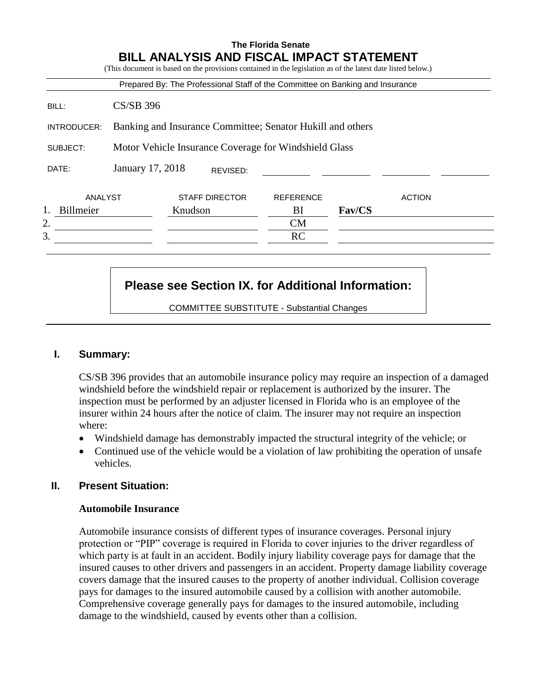|                 |                                                            |                       |          | Prepared By: The Professional Staff of the Committee on Banking and Insurance |        |               |  |  |  |  |
|-----------------|------------------------------------------------------------|-----------------------|----------|-------------------------------------------------------------------------------|--------|---------------|--|--|--|--|
| BILL:           | $CS/SB$ 396                                                |                       |          |                                                                               |        |               |  |  |  |  |
| INTRODUCER:     | Banking and Insurance Committee; Senator Hukill and others |                       |          |                                                                               |        |               |  |  |  |  |
| SUBJECT:        | Motor Vehicle Insurance Coverage for Windshield Glass      |                       |          |                                                                               |        |               |  |  |  |  |
| DATE:           | January 17, 2018                                           |                       | REVISED: |                                                                               |        |               |  |  |  |  |
| ANALYST         |                                                            | <b>STAFF DIRECTOR</b> |          | <b>REFERENCE</b>                                                              |        | <b>ACTION</b> |  |  |  |  |
| 1.<br>Billmeier |                                                            | Knudson               |          | BI                                                                            | Fav/CS |               |  |  |  |  |
| 2.              |                                                            |                       |          | CM                                                                            |        |               |  |  |  |  |
| 3.              |                                                            |                       |          | <b>RC</b>                                                                     |        |               |  |  |  |  |

# **Please see Section IX. for Additional Information:**

COMMITTEE SUBSTITUTE - Substantial Changes

# **I. Summary:**

CS/SB 396 provides that an automobile insurance policy may require an inspection of a damaged windshield before the windshield repair or replacement is authorized by the insurer. The inspection must be performed by an adjuster licensed in Florida who is an employee of the insurer within 24 hours after the notice of claim. The insurer may not require an inspection where:

- Windshield damage has demonstrably impacted the structural integrity of the vehicle; or
- Continued use of the vehicle would be a violation of law prohibiting the operation of unsafe vehicles.

### **II. Present Situation:**

### **Automobile Insurance**

Automobile insurance consists of different types of insurance coverages. Personal injury protection or "PIP" coverage is required in Florida to cover injuries to the driver regardless of which party is at fault in an accident. Bodily injury liability coverage pays for damage that the insured causes to other drivers and passengers in an accident. Property damage liability coverage covers damage that the insured causes to the property of another individual. Collision coverage pays for damages to the insured automobile caused by a collision with another automobile. Comprehensive coverage generally pays for damages to the insured automobile, including damage to the windshield, caused by events other than a collision.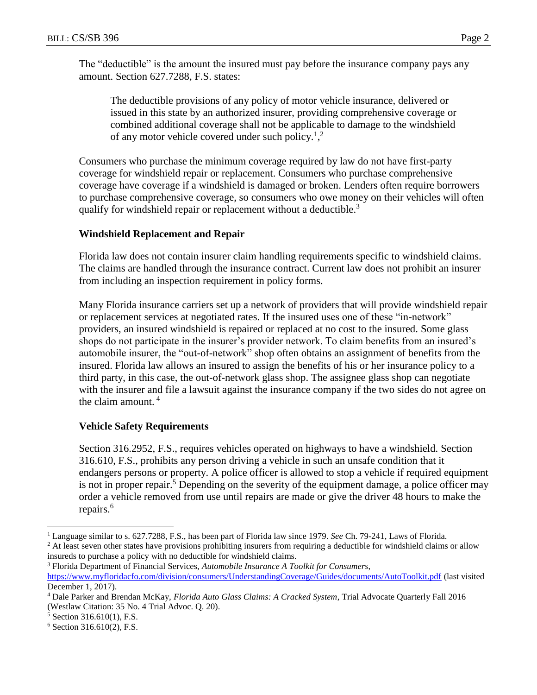The "deductible" is the amount the insured must pay before the insurance company pays any amount. Section 627.7288, F.S. states:

The deductible provisions of any policy of motor vehicle insurance, delivered or issued in this state by an authorized insurer, providing comprehensive coverage or combined additional coverage shall not be applicable to damage to the windshield of any motor vehicle covered under such policy.<sup>1</sup>,<sup>2</sup>

Consumers who purchase the minimum coverage required by law do not have first-party coverage for windshield repair or replacement. Consumers who purchase comprehensive coverage have coverage if a windshield is damaged or broken. Lenders often require borrowers to purchase comprehensive coverage, so consumers who owe money on their vehicles will often qualify for windshield repair or replacement without a deductible.<sup>3</sup>

# **Windshield Replacement and Repair**

Florida law does not contain insurer claim handling requirements specific to windshield claims. The claims are handled through the insurance contract. Current law does not prohibit an insurer from including an inspection requirement in policy forms.

Many Florida insurance carriers set up a network of providers that will provide windshield repair or replacement services at negotiated rates. If the insured uses one of these "in-network" providers, an insured windshield is repaired or replaced at no cost to the insured. Some glass shops do not participate in the insurer's provider network. To claim benefits from an insured's automobile insurer, the "out-of-network" shop often obtains an assignment of benefits from the insured. Florida law allows an insured to assign the benefits of his or her insurance policy to a third party, in this case, the out-of-network glass shop. The assignee glass shop can negotiate with the insurer and file a lawsuit against the insurance company if the two sides do not agree on the claim amount.  $4$ 

# **Vehicle Safety Requirements**

Section 316.2952, F.S., requires vehicles operated on highways to have a windshield. Section 316.610, F.S., prohibits any person driving a vehicle in such an unsafe condition that it endangers persons or property. A police officer is allowed to stop a vehicle if required equipment is not in proper repair.<sup>5</sup> Depending on the severity of the equipment damage, a police officer may order a vehicle removed from use until repairs are made or give the driver 48 hours to make the repairs.<sup>6</sup>

<sup>2</sup> At least seven other states have provisions prohibiting insurers from requiring a deductible for windshield claims or allow insureds to purchase a policy with no deductible for windshield claims.

<sup>3</sup> Florida Department of Financial Services, *Automobile Insurance A Toolkit for Consumers*, <https://www.myfloridacfo.com/division/consumers/UnderstandingCoverage/Guides/documents/AutoToolkit.pdf> (last visited December 1, 2017).

 $\overline{a}$ 

<sup>1</sup> Language similar to s. 627.7288, F.S., has been part of Florida law since 1979. *See* Ch. 79-241, Laws of Florida.

<sup>4</sup> Dale Parker and Brendan McKay, *Florida Auto Glass Claims: A Cracked System*, Trial Advocate Quarterly Fall 2016 (Westlaw Citation: 35 No. 4 Trial Advoc. Q. 20).

<sup>5</sup> Section 316.610(1), F.S.

<sup>6</sup> Section 316.610(2), F.S.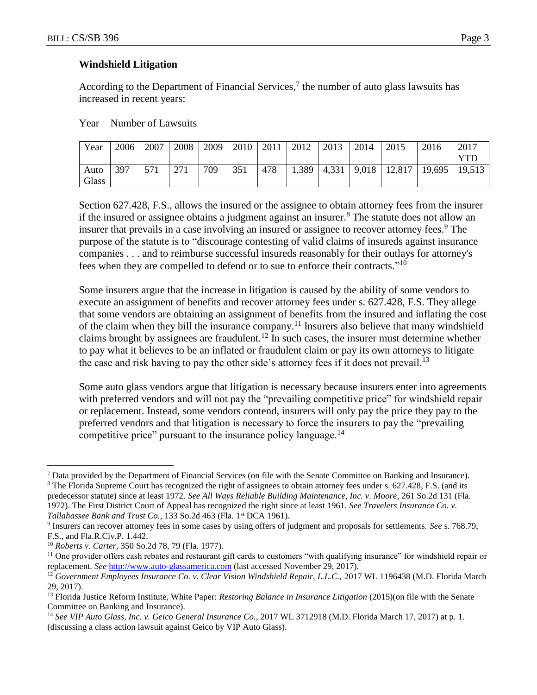### **Windshield Litigation**

According to the Department of Financial Services, $\frac{7}{1}$  the number of auto glass lawsuits has increased in recent years:

Year Number of Lawsuits

| Year  | 2006 | 2007 | 2008 | 2009 | 2010 | 2011 | 2012  | 2013 | 2014 | 2015                                            | 2016 | 2017 |
|-------|------|------|------|------|------|------|-------|------|------|-------------------------------------------------|------|------|
|       |      |      |      |      |      |      |       |      |      |                                                 |      | YTD  |
| Auto  | 397  | 571  | 271  | 709  | 351  | 478  | 1,389 |      |      | $\mid$ 4,331   9,018   12,817   19,695   19,513 |      |      |
| Glass |      |      |      |      |      |      |       |      |      |                                                 |      |      |

Section 627.428, F.S., allows the insured or the assignee to obtain attorney fees from the insurer if the insured or assignee obtains a judgment against an insurer.<sup>8</sup> The statute does not allow an insurer that prevails in a case involving an insured or assignee to recover attorney fees.<sup>9</sup> The purpose of the statute is to "discourage contesting of valid claims of insureds against insurance companies . . . and to reimburse successful insureds reasonably for their outlays for attorney's fees when they are compelled to defend or to sue to enforce their contracts."<sup>10</sup>

Some insurers argue that the increase in litigation is caused by the ability of some vendors to execute an assignment of benefits and recover attorney fees under s. 627.428, F.S. They allege that some vendors are obtaining an assignment of benefits from the insured and inflating the cost of the claim when they bill the insurance company.<sup>11</sup> Insurers also believe that many windshield claims brought by assignees are fraudulent.<sup>12</sup> In such cases, the insurer must determine whether to pay what it believes to be an inflated or fraudulent claim or pay its own attorneys to litigate the case and risk having to pay the other side's attorney fees if it does not prevail.<sup>13</sup>

Some auto glass vendors argue that litigation is necessary because insurers enter into agreements with preferred vendors and will not pay the "prevailing competitive price" for windshield repair or replacement. Instead, some vendors contend, insurers will only pay the price they pay to the preferred vendors and that litigation is necessary to force the insurers to pay the "prevailing competitive price" pursuant to the insurance policy language.<sup>14</sup>

 $\overline{a}$ 

<sup>7</sup> Data provided by the Department of Financial Services (on file with the Senate Committee on Banking and Insurance).

<sup>&</sup>lt;sup>8</sup> The Florida Supreme Court has recognized the right of assignees to obtain attorney fees under s. 627.428, F.S. (and its predecessor statute) since at least 1972. *See All Ways Reliable Building Maintenance, Inc. v. Moore*, 261 So.2d 131 (Fla. 1972). The First District Court of Appeal has recognized the right since at least 1961. *See Travelers Insurance Co. v. Tallahassee Bank and Trust Co.*, 133 So.2d 463 (Fla. 1<sup>st</sup> DCA 1961).

<sup>9</sup> Insurers can recover attorney fees in some cases by using offers of judgment and proposals for settlements. *See* s. 768.79, F.S., and Fla.R.Civ.P. 1.442.

<sup>10</sup> *Roberts v. Carter*, 350 So.2d 78, 79 (Fla. 1977).

<sup>&</sup>lt;sup>11</sup> One provider offers cash rebates and restaurant gift cards to customers "with qualifying insurance" for windshield repair or replacement. *See* [http://www.auto-glassamerica.com](http://www.auto-glassamerica.com/) (last accessed November 29, 2017).

<sup>&</sup>lt;sup>12</sup> Government Employees Insurance Co. v. Clear Vision Windshield Repair, L.L.C., 2017 WL 1196438 (M.D. Florida March 29, 2017).

<sup>13</sup> Florida Justice Reform Institute, White Paper: *Restoring Balance in Insurance Litigation* (2015)(on file with the Senate Committee on Banking and Insurance).

<sup>14</sup> *See VIP Auto Glass, Inc. v. Geico General Insurance Co.,* 2017 WL 3712918 (M.D. Florida March 17, 2017) at p. 1. (discussing a class action lawsuit against Geico by VIP Auto Glass).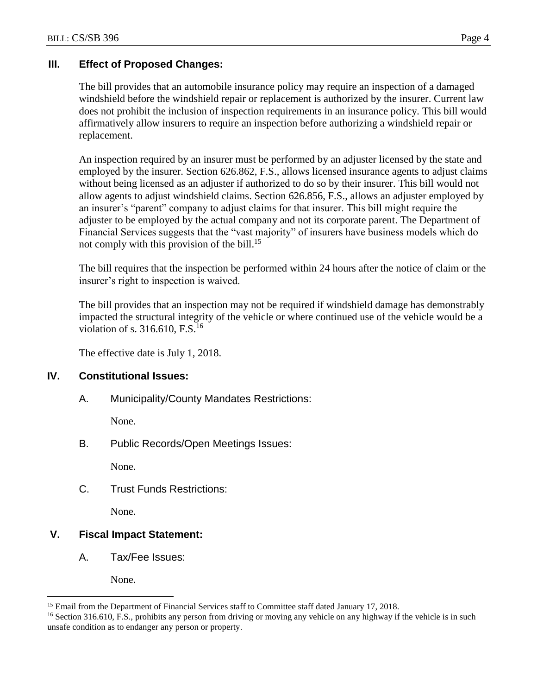# **III. Effect of Proposed Changes:**

The bill provides that an automobile insurance policy may require an inspection of a damaged windshield before the windshield repair or replacement is authorized by the insurer. Current law does not prohibit the inclusion of inspection requirements in an insurance policy. This bill would affirmatively allow insurers to require an inspection before authorizing a windshield repair or replacement.

An inspection required by an insurer must be performed by an adjuster licensed by the state and employed by the insurer. Section 626.862, F.S., allows licensed insurance agents to adjust claims without being licensed as an adjuster if authorized to do so by their insurer. This bill would not allow agents to adjust windshield claims. Section 626.856, F.S., allows an adjuster employed by an insurer's "parent" company to adjust claims for that insurer. This bill might require the adjuster to be employed by the actual company and not its corporate parent. The Department of Financial Services suggests that the "vast majority" of insurers have business models which do not comply with this provision of the bill.<sup>15</sup>

The bill requires that the inspection be performed within 24 hours after the notice of claim or the insurer's right to inspection is waived.

The bill provides that an inspection may not be required if windshield damage has demonstrably impacted the structural integrity of the vehicle or where continued use of the vehicle would be a violation of s.  $316.610$ , F.S.<sup>16</sup>

The effective date is July 1, 2018.

# **IV. Constitutional Issues:**

A. Municipality/County Mandates Restrictions:

None.

B. Public Records/Open Meetings Issues:

None.

C. Trust Funds Restrictions:

None.

# **V. Fiscal Impact Statement:**

A. Tax/Fee Issues:

None.

 $\overline{a}$ 

<sup>&</sup>lt;sup>15</sup> Email from the Department of Financial Services staff to Committee staff dated January 17, 2018.

<sup>&</sup>lt;sup>16</sup> Section 316.610, F.S., prohibits any person from driving or moving any vehicle on any highway if the vehicle is in such unsafe condition as to endanger any person or property.